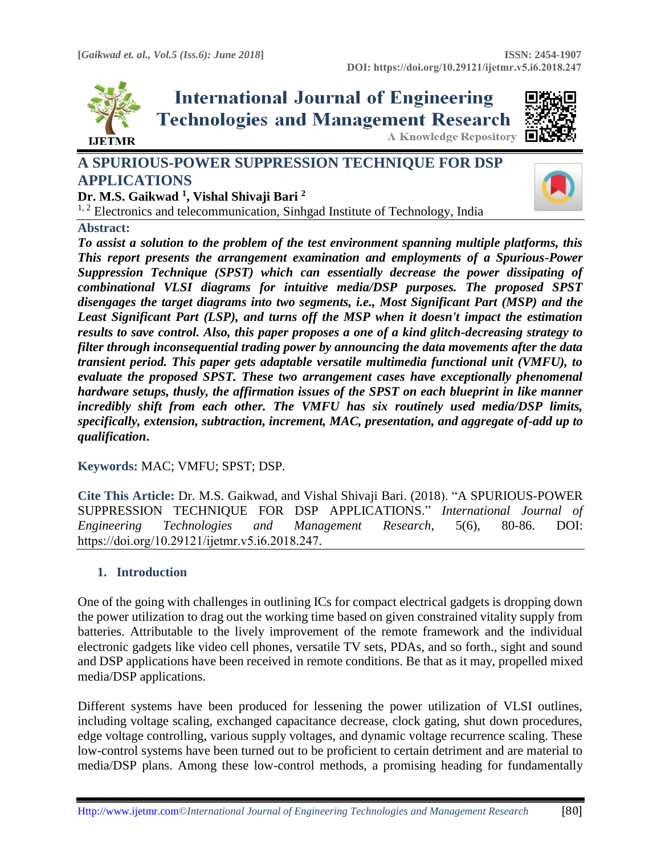

**International Journal of Engineering Technologies and Management Research A Knowledge Repository** 



**A SPURIOUS-POWER SUPPRESSION TECHNIQUE FOR DSP APPLICATIONS**



**Dr. M.S. Gaikwad <sup>1</sup> , Vishal Shivaji Bari <sup>2</sup>**

 $1, 2$  Electronics and telecommunication, Sinhgad Institute of Technology, India

# **Abstract:**

*To assist a solution to the problem of the test environment spanning multiple platforms, this This report presents the arrangement examination and employments of a Spurious-Power Suppression Technique (SPST) which can essentially decrease the power dissipating of combinational VLSI diagrams for intuitive media/DSP purposes. The proposed SPST disengages the target diagrams into two segments, i.e., Most Significant Part (MSP) and the Least Significant Part (LSP), and turns off the MSP when it doesn't impact the estimation results to save control. Also, this paper proposes a one of a kind glitch-decreasing strategy to filter through inconsequential trading power by announcing the data movements after the data transient period. This paper gets adaptable versatile multimedia functional unit (VMFU), to evaluate the proposed SPST. These two arrangement cases have exceptionally phenomenal hardware setups, thusly, the affirmation issues of the SPST on each blueprint in like manner incredibly shift from each other. The VMFU has six routinely used media/DSP limits, specifically, extension, subtraction, increment, MAC, presentation, and aggregate of-add up to qualification***.**

**Keywords:** MAC; VMFU; SPST; DSP*.* 

**Cite This Article:** Dr. M.S. Gaikwad, and Vishal Shivaji Bari. (2018). "A SPURIOUS-POWER SUPPRESSION TECHNIQUE FOR DSP APPLICATIONS." *International Journal of Engineering Technologies and Management Research,* 5(6), 80-86. DOI: https://doi.org/10.29121/ijetmr.v5.i6.2018.247.

# **1. Introduction**

One of the going with challenges in outlining ICs for compact electrical gadgets is dropping down the power utilization to drag out the working time based on given constrained vitality supply from batteries. Attributable to the lively improvement of the remote framework and the individual electronic gadgets like video cell phones, versatile TV sets, PDAs, and so forth., sight and sound and DSP applications have been received in remote conditions. Be that as it may, propelled mixed media/DSP applications.

Different systems have been produced for lessening the power utilization of VLSI outlines, including voltage scaling, exchanged capacitance decrease, clock gating, shut down procedures, edge voltage controlling, various supply voltages, and dynamic voltage recurrence scaling. These low-control systems have been turned out to be proficient to certain detriment and are material to media/DSP plans. Among these low-control methods, a promising heading for fundamentally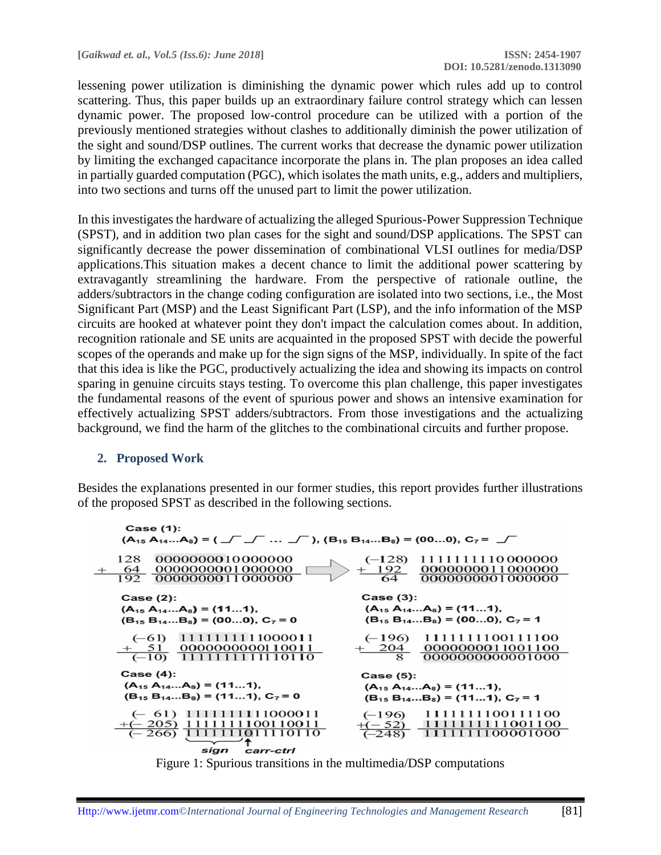lessening power utilization is diminishing the dynamic power which rules add up to control scattering. Thus, this paper builds up an extraordinary failure control strategy which can lessen dynamic power. The proposed low-control procedure can be utilized with a portion of the previously mentioned strategies without clashes to additionally diminish the power utilization of the sight and sound/DSP outlines. The current works that decrease the dynamic power utilization by limiting the exchanged capacitance incorporate the plans in. The plan proposes an idea called in partially guarded computation (PGC), which isolates the math units, e.g., adders and multipliers, into two sections and turns off the unused part to limit the power utilization.

In this investigates the hardware of actualizing the alleged Spurious-Power Suppression Technique (SPST), and in addition two plan cases for the sight and sound/DSP applications. The SPST can significantly decrease the power dissemination of combinational VLSI outlines for media/DSP applications.This situation makes a decent chance to limit the additional power scattering by extravagantly streamlining the hardware. From the perspective of rationale outline, the adders/subtractors in the change coding configuration are isolated into two sections, i.e., the Most Significant Part (MSP) and the Least Significant Part (LSP), and the info information of the MSP circuits are hooked at whatever point they don't impact the calculation comes about. In addition, recognition rationale and SE units are acquainted in the proposed SPST with decide the powerful scopes of the operands and make up for the sign signs of the MSP, individually. In spite of the fact that this idea is like the PGC, productively actualizing the idea and showing its impacts on control sparing in genuine circuits stays testing. To overcome this plan challenge, this paper investigates the fundamental reasons of the event of spurious power and shows an intensive examination for effectively actualizing SPST adders/subtractors. From those investigations and the actualizing background, we find the harm of the glitches to the combinational circuits and further propose.

### **2. Proposed Work**

Besides the explanations presented in our former studies, this report provides further illustrations of the proposed SPST as described in the following sections.



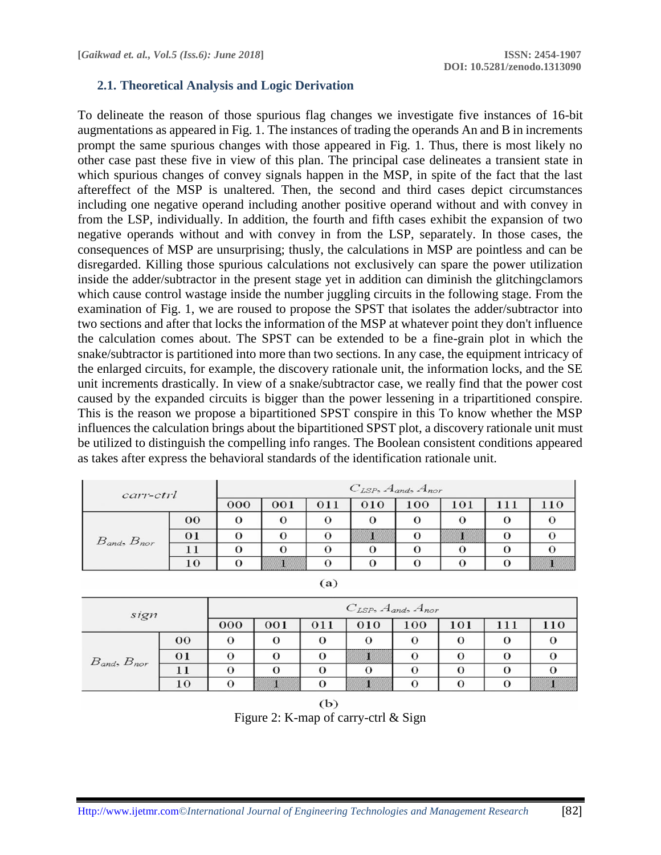### **2.1. Theoretical Analysis and Logic Derivation**

To delineate the reason of those spurious flag changes we investigate five instances of 16-bit augmentations as appeared in Fig. 1. The instances of trading the operands An and B in increments prompt the same spurious changes with those appeared in Fig. 1. Thus, there is most likely no other case past these five in view of this plan. The principal case delineates a transient state in which spurious changes of convey signals happen in the MSP, in spite of the fact that the last aftereffect of the MSP is unaltered. Then, the second and third cases depict circumstances including one negative operand including another positive operand without and with convey in from the LSP, individually. In addition, the fourth and fifth cases exhibit the expansion of two negative operands without and with convey in from the LSP, separately. In those cases, the consequences of MSP are unsurprising; thusly, the calculations in MSP are pointless and can be disregarded. Killing those spurious calculations not exclusively can spare the power utilization inside the adder/subtractor in the present stage yet in addition can diminish the glitchingclamors which cause control wastage inside the number juggling circuits in the following stage. From the examination of Fig. 1, we are roused to propose the SPST that isolates the adder/subtractor into two sections and after that locks the information of the MSP at whatever point they don't influence the calculation comes about. The SPST can be extended to be a fine-grain plot in which the snake/subtractor is partitioned into more than two sections. In any case, the equipment intricacy of the enlarged circuits, for example, the discovery rationale unit, the information locks, and the SE unit increments drastically. In view of a snake/subtractor case, we really find that the power cost caused by the expanded circuits is bigger than the power lessening in a tripartitioned conspire. This is the reason we propose a bipartitioned SPST conspire in this To know whether the MSP influences the calculation brings about the bipartitioned SPST plot, a discovery rationale unit must be utilized to distinguish the compelling info ranges. The Boolean consistent conditions appeared as takes after express the behavioral standards of the identification rationale unit.

| carr-ctrl             |                 | $C_{LSP}$ , $A_{and}$ , $A_{nor}$ |                       |     |                      |     |     |     |                      |  |
|-----------------------|-----------------|-----------------------------------|-----------------------|-----|----------------------|-----|-----|-----|----------------------|--|
|                       |                 | 000                               | 001                   | 011 | 010                  | 100 | 101 | 111 | 110                  |  |
| $B_{and}$ , $B_{nor}$ | 00              |                                   |                       |     | $\ddot{\phantom{0}}$ |     |     |     |                      |  |
|                       | $\overline{01}$ |                                   |                       |     |                      |     |     |     |                      |  |
|                       |                 |                                   |                       |     |                      |     |     |     |                      |  |
|                       |                 |                                   | ,,,,,,,,,,,,,,,,,,,,, |     |                      |     |     |     | ,,,,,,,,,,,,,,,,,,,, |  |

| sign                  |        | $C_{LSP}$ , $A_{and}$ , $A_{nor}$ |     |     |     |     |     |     |     |  |
|-----------------------|--------|-----------------------------------|-----|-----|-----|-----|-----|-----|-----|--|
|                       |        | 000                               | 001 | 011 | 010 | 100 | 101 | 111 | 110 |  |
| $B_{and}$ , $B_{nor}$ | $00\,$ | $\Omega$                          |     | 0   |     | ι,  |     |     |     |  |
|                       | 01     |                                   |     |     |     | O   |     |     |     |  |
|                       |        |                                   |     |     |     |     |     |     |     |  |
|                       | 10     |                                   |     |     |     | O   |     |     |     |  |

 $(a)$ 

 $(b)$ Figure 2: K-map of carry-ctrl & Sign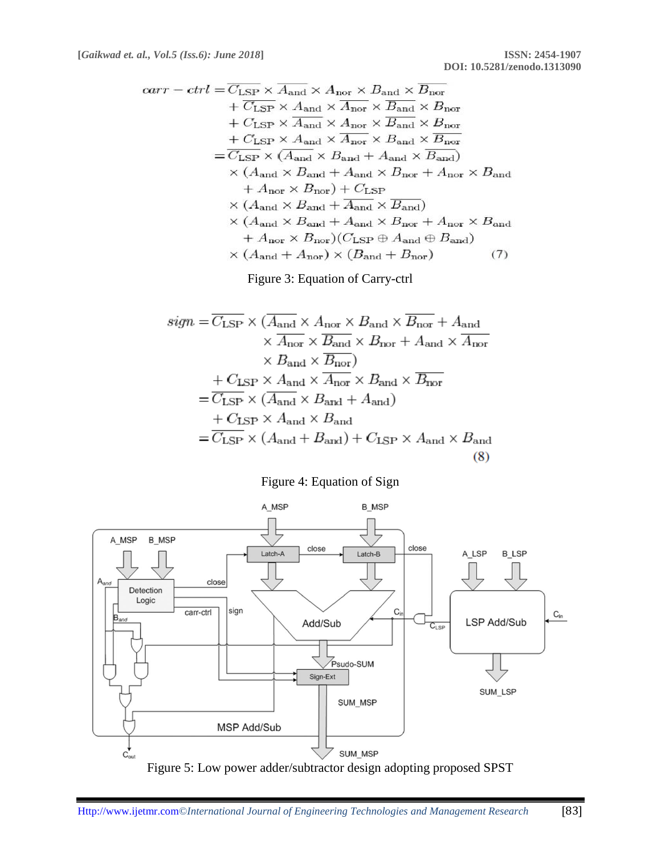$$
carr - ctrl = \overline{C_{LSP}} \times \overline{A}_{and} \times A_{nor} \times B_{and} \times \overline{B}_{nor}
$$
  
+  $\overline{C_{LSP}} \times A_{and} \times \overline{A}_{nor} \times \overline{B}_{and} \times B_{nor}$   
+  $C_{LSP} \times \overline{A}_{and} \times A_{nor} \times \overline{B}_{and} \times B_{nor}$   
+  $C_{LSP} \times A_{and} \times \overline{A}_{nor} \times B_{and} \times \overline{B}_{nor}$   
=  $\overline{C_{LSP}} \times (\overline{A}_{and} \times B_{and} + A_{and} \times \overline{B}_{and})$   
+  $A_{nor} \times B_{nor} + A_{nor} \times B_{and}$   
+  $A_{nor} \times B_{nor} + \overline{C_{LSP}}$   
 $\times (A_{and} \times B_{and} + \overline{A}_{and} \times \overline{B}_{and})$   
 $\times (A_{and} \times B_{and} + A_{and} \times B_{nor} + A_{nor} \times B_{and}$   
+  $A_{nor} \times B_{nor}) (C_{LSP} \oplus A_{and} \oplus B_{and})$   
 $\times (A_{and} + A_{nor}) \times (B_{and} + B_{nor})$  (7)

Figure 3: Equation of Carry-ctrl

$$
sign = \overline{C_{\text{LSP}}} \times (\overline{A_{\text{and}}} \times A_{\text{nor}} \times B_{\text{and}} \times \overline{B_{\text{nor}}} + A_{\text{and}} \times \overline{A_{\text{nor}}} \times \overline{B_{\text{and}}} \times B_{\text{nor}} + A_{\text{and}} \times \overline{A_{\text{nor}}}\times B_{\text{and}} \times \overline{B_{\text{nor}}}= \overline{C_{\text{LSP}}} \times (A_{\text{and}} \times B_{\text{and}} + A_{\text{and}})+ C_{\text{LSP}} \times A_{\text{and}} \times B_{\text{and}}= \overline{C_{\text{LSP}}} \times (A_{\text{and}} + B_{\text{and}}) + C_{\text{LSP}} \times A_{\text{and}} \times B_{\text{and}}(8)
$$





Figure 5: Low power adder/subtractor design adopting proposed SPST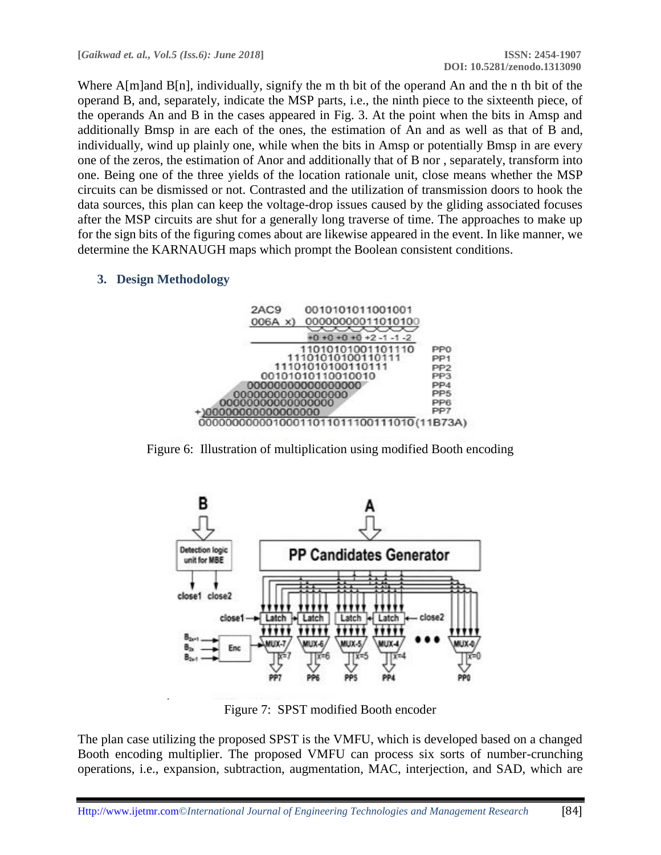Where A[m]and B[n], individually, signify the m th bit of the operand An and the n th bit of the operand B, and, separately, indicate the MSP parts, i.e., the ninth piece to the sixteenth piece, of the operands An and B in the cases appeared in Fig. 3. At the point when the bits in Amsp and additionally Bmsp in are each of the ones, the estimation of An and as well as that of B and, individually, wind up plainly one, while when the bits in Amsp or potentially Bmsp in are every one of the zeros, the estimation of Anor and additionally that of B nor , separately, transform into one. Being one of the three yields of the location rationale unit, close means whether the MSP circuits can be dismissed or not. Contrasted and the utilization of transmission doors to hook the data sources, this plan can keep the voltage-drop issues caused by the gliding associated focuses after the MSP circuits are shut for a generally long traverse of time. The approaches to make up for the sign bits of the figuring comes about are likewise appeared in the event. In like manner, we determine the KARNAUGH maps which prompt the Boolean consistent conditions.

# **3. Design Methodology**



Figure 6: Illustration of multiplication using modified Booth encoding



Figure 7: SPST modified Booth encoder

The plan case utilizing the proposed SPST is the VMFU, which is developed based on a changed Booth encoding multiplier. The proposed VMFU can process six sorts of number-crunching operations, i.e., expansion, subtraction, augmentation, MAC, interjection, and SAD, which are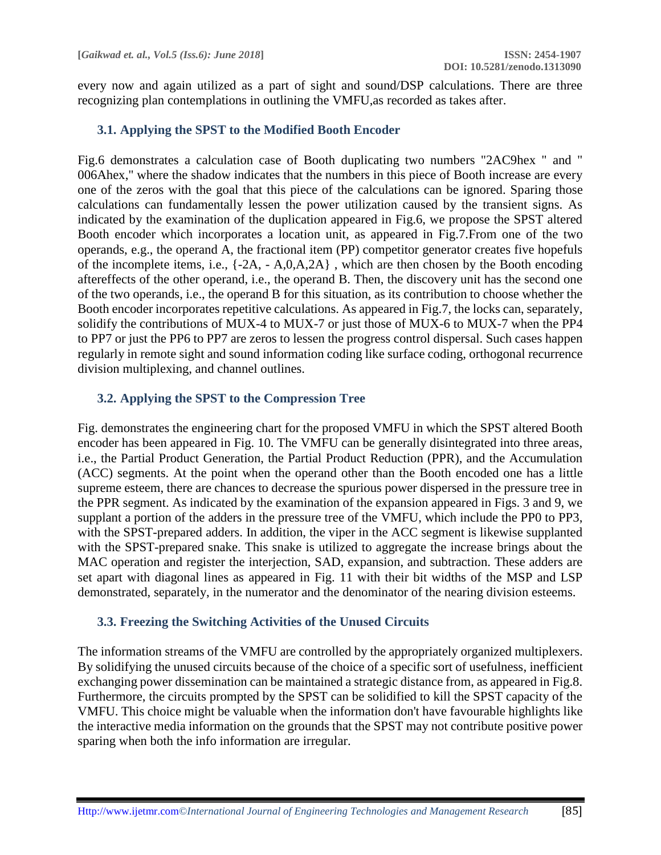every now and again utilized as a part of sight and sound/DSP calculations. There are three recognizing plan contemplations in outlining the VMFU,as recorded as takes after.

### **3.1. Applying the SPST to the Modified Booth Encoder**

Fig.6 demonstrates a calculation case of Booth duplicating two numbers "2AC9hex " and " 006Ahex," where the shadow indicates that the numbers in this piece of Booth increase are every one of the zeros with the goal that this piece of the calculations can be ignored. Sparing those calculations can fundamentally lessen the power utilization caused by the transient signs. As indicated by the examination of the duplication appeared in Fig.6, we propose the SPST altered Booth encoder which incorporates a location unit, as appeared in Fig.7.From one of the two operands, e.g., the operand A, the fractional item (PP) competitor generator creates five hopefuls of the incomplete items, i.e., {-2A, - A,0,A,2A} , which are then chosen by the Booth encoding aftereffects of the other operand, i.e., the operand B. Then, the discovery unit has the second one of the two operands, i.e., the operand B for this situation, as its contribution to choose whether the Booth encoder incorporates repetitive calculations. As appeared in Fig.7, the locks can, separately, solidify the contributions of MUX-4 to MUX-7 or just those of MUX-6 to MUX-7 when the PP4 to PP7 or just the PP6 to PP7 are zeros to lessen the progress control dispersal. Such cases happen regularly in remote sight and sound information coding like surface coding, orthogonal recurrence division multiplexing, and channel outlines.

# **3.2. Applying the SPST to the Compression Tree**

Fig. demonstrates the engineering chart for the proposed VMFU in which the SPST altered Booth encoder has been appeared in Fig. 10. The VMFU can be generally disintegrated into three areas, i.e., the Partial Product Generation, the Partial Product Reduction (PPR), and the Accumulation (ACC) segments. At the point when the operand other than the Booth encoded one has a little supreme esteem, there are chances to decrease the spurious power dispersed in the pressure tree in the PPR segment. As indicated by the examination of the expansion appeared in Figs. 3 and 9, we supplant a portion of the adders in the pressure tree of the VMFU, which include the PP0 to PP3, with the SPST-prepared adders. In addition, the viper in the ACC segment is likewise supplanted with the SPST-prepared snake. This snake is utilized to aggregate the increase brings about the MAC operation and register the interjection, SAD, expansion, and subtraction. These adders are set apart with diagonal lines as appeared in Fig. 11 with their bit widths of the MSP and LSP demonstrated, separately, in the numerator and the denominator of the nearing division esteems.

### **3.3. Freezing the Switching Activities of the Unused Circuits**

The information streams of the VMFU are controlled by the appropriately organized multiplexers. By solidifying the unused circuits because of the choice of a specific sort of usefulness, inefficient exchanging power dissemination can be maintained a strategic distance from, as appeared in Fig.8. Furthermore, the circuits prompted by the SPST can be solidified to kill the SPST capacity of the VMFU. This choice might be valuable when the information don't have favourable highlights like the interactive media information on the grounds that the SPST may not contribute positive power sparing when both the info information are irregular.